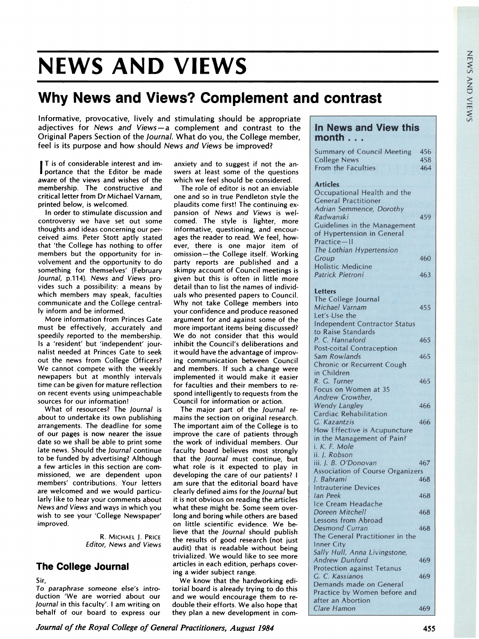# NEWS AND VIEWS

## Why News and Views? Complement and contrast

Informative, provocative, lively and stimulating should be appropriate adjectives for News and Views-a complement and contrast to the Original Papers Section of the Journal. What do you, the College member, feel is its purpose and how should News and Views be improved?

T is of considerable interest and importance that the Editor be made aware of the views and wishes of the membership. The constructive and critical letter from Dr Michael Varnam, printed below, is welcomed.

In order to stimulate discussion and controversy we have set out some thoughts and ideas concerning our perceived aims. Peter Stott aptly stated that 'the College has nothing to offer members but the opportunity for involvement and the opportunity to do something for themselves' (February Journal, p.114). News and Views provides such a possibility: a means by which members may speak, faculties communicate and the College centrally inform and be informed.

More information from Princes Gate must be effectively, accurately and speedily reported to the membership. Is a 'resident' but 'independent' journalist needed at Princes Gate to seek out the news from College Officers? We cannot compete with the weekly newpapers but at monthly intervals time can be given for mature reflection on recent events using unimpeachable sources for our information!

What of resources? The Journal is about to undertake its own publishing arrangements. The deadline for some of our pages is now nearer the issue date so we shall be able to print some late news. Should the Journal continue to be funded by advertising? Although a few articles in this section are commissioned, we are dependent upon members' contributions. Your letters are welcomed and we would particularly like to hear your comments about News and Views and ways in which you wish to see your 'College Newspaper' improved.

> R. MICHAEL J. PRICE Editor, News and Views

### The College Journal

Sir,

To paraphrase someone else's introduction 'We are worried about our Journal in this faculty'. <sup>I</sup> am writing on behalf of our board to express our

anxiety and to suggest if not the answers at least some of the questions which we feel should be considered.

The role of editor is not an enviable one and so in true Pendleton style the plaudits come first! The continuing expansion of News and Views is welcomed. The style is lighter, more informative, questioning, and encourages the reader to read. We feel, however, there is one major item of omission-the College itself. Working party reports are published and a skimpy account of Council meetings is given but this is often in little more detail than to list the names of individuals who presented papers to Council. Why not take College members into your confidence and produce reasoned argument for and against some of the more important items being discussed? We do not consider that this would inhibit the Council's deliberations and it would have the advantage of improving communication between Council and members. If such a change were implemented it would make it easier for faculties and their members to respond intelligently to requests from the Council for information or action.

The major part of the Journal remains the section on original research. The important aim of the College is to improve the care of patients through the work of individual members. Our faculty board believes most strongly that the Journal must continue, but what role is it expected to play in developing the care of our patients? <sup>I</sup> am sure that the editorial board have clearly defined aims for the Journal but it is not obvious on reading the articles what these might be. Some seem overlong and boring while others are based on little scientific evidence. We believe that the Journal should publish the results of good research (not just audit) that is readable without being trivialized. We would like to see more articles in each edition, perhaps covering a wider subject range.

We know that the hardworking editorial board is already trying to do this and we would encourage them to redouble their efforts. We also hope that they plan a new development in com-

### In News and View this  $month . . .$

| .                                           |     |
|---------------------------------------------|-----|
| <b>Summary of Council Meeting</b>           | 456 |
| <b>College News</b>                         | 458 |
| From the Faculties                          | 464 |
|                                             |     |
| <b>Articles</b>                             |     |
| Occupational Health and the                 |     |
| <b>General Practitioner</b>                 |     |
| Adrian Semmence, Dorothy                    |     |
| Radwanski                                   | 459 |
| Guidelines in the Management                |     |
| of Hypertension in General                  |     |
| Practice-II                                 |     |
| The Lothian Hypertension                    |     |
| Group                                       | 460 |
| <b>Holistic Medicine</b>                    |     |
| Patrick Pietroni                            | 463 |
|                                             |     |
| <b>Letters</b>                              |     |
| The College Journal                         |     |
| Michael Varnam                              | 455 |
| Let's Use the                               |     |
| <b>Independent Contractor Status</b>        |     |
| to Raise Standards                          |     |
| P. C. Hannaford                             | 465 |
| <b>Post-coital Contraception</b>            |     |
| Sam Rowlands                                | 465 |
| Chronic or Recurrent Cough                  |     |
| in Children                                 |     |
| R. G. Turner                                | 465 |
| Focus on Women at 35                        |     |
| Andrew Crowther,                            |     |
| <b>Wendy Langley</b>                        | 466 |
| Cardiac Rehabilitation                      |     |
| G. Kazantzis                                | 466 |
|                                             |     |
| How Effective is Acupuncture                |     |
| in the Management of Pain?<br>i. K. F. Mole |     |
|                                             |     |
| ii. J. Robson                               |     |
| iii. J. B. O'Donovan                        | 467 |
| <b>Association of Course Organizers</b>     |     |
| J. Bahrami                                  | 468 |
| <b>Intrauterine Devices</b>                 |     |
| lan Peek                                    | 468 |
| Ice Cream Headache                          |     |
| Doreen Mitchell                             | 468 |
| Lessons from Abroad                         |     |
| <b>Desmond Curran</b>                       | 468 |
| The General Practitioner in the             |     |
| <b>Inner City</b>                           |     |
| Sally Hull, Anna Livingstone,               |     |
| <b>Andrew Dunford</b>                       | 469 |
| <b>Protection against Tetanus</b>           |     |
| G. C. Kassianos                             | 469 |
| Demands made on General                     |     |
| Practice by Women before and                |     |
| after an Abortion                           |     |
| Clare Hamon                                 | 469 |

Journal of the Royal College of General Practitioners, August 1984 455